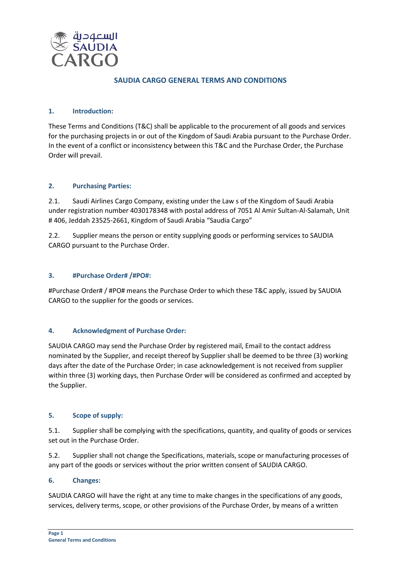

## **SAUDIA CARGO GENERAL TERMS AND CONDITIONS**

### **1. Introduction:**

These Terms and Conditions (T&C) shall be applicable to the procurement of all goods and services for the purchasing projects in or out of the Kingdom of Saudi Arabia pursuant to the Purchase Order. In the event of a conflict or inconsistency between this T&C and the Purchase Order, the Purchase Order will prevail.

### **2. Purchasing Parties:**

2.1. Saudi Airlines Cargo Company, existing under the Law s of the Kingdom of Saudi Arabia under registration number 4030178348 with postal address of 7051 Al Amir Sultan-Al-Salamah, Unit # 406, Jeddah 23525-2661, Kingdom of Saudi Arabia "Saudia Cargo"

2.2. Supplier means the person or entity supplying goods or performing services to SAUDIA CARGO pursuant to the Purchase Order.

### **3. #Purchase Order# /#PO#:**

#Purchase Order# / #PO# means the Purchase Order to which these T&C apply, issued by SAUDIA CARGO to the supplier for the goods or services.

## **4. Acknowledgment of Purchase Order:**

SAUDIA CARGO may send the Purchase Order by registered mail, Email to the contact address nominated by the Supplier, and receipt thereof by Supplier shall be deemed to be three (3) working days after the date of the Purchase Order; in case acknowledgement is not received from supplier within three (3) working days, then Purchase Order will be considered as confirmed and accepted by the Supplier.

#### **5. Scope of supply:**

5.1. Supplier shall be complying with the specifications, quantity, and quality of goods or services set out in the Purchase Order.

5.2. Supplier shall not change the Specifications, materials, scope or manufacturing processes of any part of the goods or services without the prior written consent of SAUDIA CARGO.

#### **6. Changes:**

SAUDIA CARGO will have the right at any time to make changes in the specifications of any goods, services, delivery terms, scope, or other provisions of the Purchase Order, by means of a written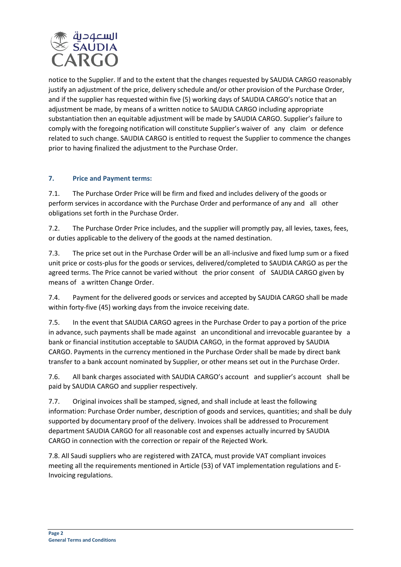

notice to the Supplier. If and to the extent that the changes requested by SAUDIA CARGO reasonably justify an adjustment of the price, delivery schedule and/or other provision of the Purchase Order, and if the supplier has requested within five (5) working days of SAUDIA CARGO's notice that an adjustment be made, by means of a written notice to SAUDIA CARGO including appropriate substantiation then an equitable adjustment will be made by SAUDIA CARGO. Supplier's failure to comply with the foregoing notification will constitute Supplier's waiver of any claim or defence related to such change. SAUDIA CARGO is entitled to request the Supplier to commence the changes prior to having finalized the adjustment to the Purchase Order.

## **7. Price and Payment terms:**

7.1. The Purchase Order Price will be firm and fixed and includes delivery of the goods or perform services in accordance with the Purchase Order and performance of any and all other obligations set forth in the Purchase Order.

7.2. The Purchase Order Price includes, and the supplier will promptly pay, all levies, taxes, fees, or duties applicable to the delivery of the goods at the named destination.

7.3. The price set out in the Purchase Order will be an all-inclusive and fixed lump sum or a fixed unit price or costs-plus for the goods or services, delivered/completed to SAUDIA CARGO as per the agreed terms. The Price cannot be varied without the prior consent of SAUDIA CARGO given by means of a written Change Order.

7.4. Payment for the delivered goods or services and accepted by SAUDIA CARGO shall be made within forty-five (45) working days from the invoice receiving date.

7.5. In the event that SAUDIA CARGO agrees in the Purchase Order to pay a portion of the price in advance, such payments shall be made against an unconditional and irrevocable guarantee by a bank or financial institution acceptable to SAUDIA CARGO, in the format approved by SAUDIA CARGO. Payments in the currency mentioned in the Purchase Order shall be made by direct bank transfer to a bank account nominated by Supplier, or other means set out in the Purchase Order.

7.6. All bank charges associated with SAUDIA CARGO's account and supplier's account shall be paid by SAUDIA CARGO and supplier respectively.

7.7. Original invoices shall be stamped, signed, and shall include at least the following information: Purchase Order number, description of goods and services, quantities; and shall be duly supported by documentary proof of the delivery. Invoices shall be addressed to Procurement department SAUDIA CARGO for all reasonable cost and expenses actually incurred by SAUDIA CARGO in connection with the correction or repair of the Rejected Work.

7.8. All Saudi suppliers who are registered with ZATCA, must provide VAT compliant invoices meeting all the requirements mentioned in Article (53) of VAT implementation regulations and E-Invoicing regulations.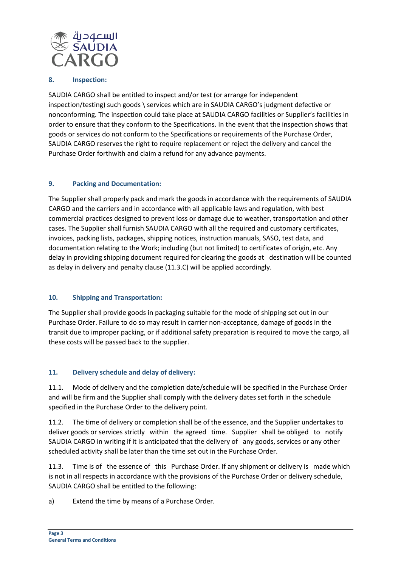

#### **8. Inspection:**

SAUDIA CARGO shall be entitled to inspect and/or test (or arrange for independent inspection/testing) such goods \ services which are in SAUDIA CARGO's judgment defective or nonconforming. The inspection could take place at SAUDIA CARGO facilities or Supplier's facilities in order to ensure that they conform to the Specifications. In the event that the inspection shows that goods or services do not conform to the Specifications or requirements of the Purchase Order, SAUDIA CARGO reserves the right to require replacement or reject the delivery and cancel the Purchase Order forthwith and claim a refund for any advance payments.

### **9. Packing and Documentation:**

The Supplier shall properly pack and mark the goods in accordance with the requirements of SAUDIA CARGO and the carriers and in accordance with all applicable laws and regulation, with best commercial practices designed to prevent loss or damage due to weather, transportation and other cases. The Supplier shall furnish SAUDIA CARGO with all the required and customary certificates, invoices, packing lists, packages, shipping notices, instruction manuals, SASO, test data, and documentation relating to the Work; including (but not limited) to certificates of origin, etc. Any delay in providing shipping document required for clearing the goods at destination will be counted as delay in delivery and penalty clause (11.3.C) will be applied accordingly.

#### **10. Shipping and Transportation:**

The Supplier shall provide goods in packaging suitable for the mode of shipping set out in our Purchase Order. Failure to do so may result in carrier non-acceptance, damage of goods in the transit due to improper packing, or if additional safety preparation is required to move the cargo, all these costs will be passed back to the supplier.

## **11. Delivery schedule and delay of delivery:**

11.1. Mode of delivery and the completion date/schedule will be specified in the Purchase Order and will be firm and the Supplier shall comply with the delivery dates set forth in the schedule specified in the Purchase Order to the delivery point.

11.2. The time of delivery or completion shall be of the essence, and the Supplier undertakes to deliver goods or services strictly within the agreed time. Supplier shall be obliged to notify SAUDIA CARGO in writing if it is anticipated that the delivery of any goods, services or any other scheduled activity shall be later than the time set out in the Purchase Order.

11.3. Time is of the essence of this Purchase Order. If any shipment or delivery is made which is not in all respects in accordance with the provisions of the Purchase Order or delivery schedule, SAUDIA CARGO shall be entitled to the following:

a) Extend the time by means of a Purchase Order.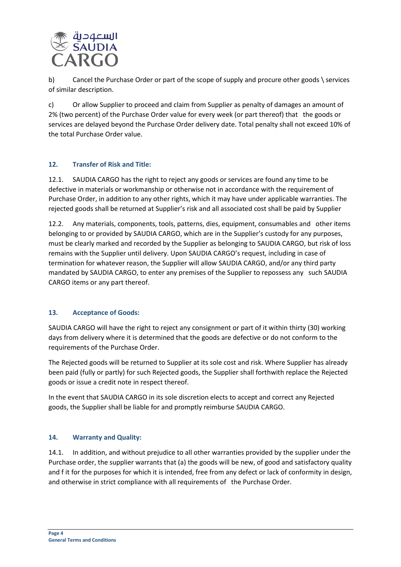

b) Cancel the Purchase Order or part of the scope of supply and procure other goods \ services of similar description.

c) Or allow Supplier to proceed and claim from Supplier as penalty of damages an amount of 2% (two percent) of the Purchase Order value for every week (or part thereof) that the goods or services are delayed beyond the Purchase Order delivery date. Total penalty shall not exceed 10% of the total Purchase Order value.

## **12. Transfer of Risk and Title:**

12.1. SAUDIA CARGO has the right to reject any goods or services are found any time to be defective in materials or workmanship or otherwise not in accordance with the requirement of Purchase Order, in addition to any other rights, which it may have under applicable warranties. The rejected goods shall be returned at Supplier's risk and all associated cost shall be paid by Supplier

12.2. Any materials, components, tools, patterns, dies, equipment, consumables and other items belonging to or provided by SAUDIA CARGO, which are in the Supplier's custody for any purposes, must be clearly marked and recorded by the Supplier as belonging to SAUDIA CARGO, but risk of loss remains with the Supplier until delivery. Upon SAUDIA CARGO's request, including in case of termination for whatever reason, the Supplier will allow SAUDIA CARGO, and/or any third party mandated by SAUDIA CARGO, to enter any premises of the Supplier to repossess any such SAUDIA CARGO items or any part thereof.

## **13. Acceptance of Goods:**

SAUDIA CARGO will have the right to reject any consignment or part of it within thirty (30) working days from delivery where it is determined that the goods are defective or do not conform to the requirements of the Purchase Order.

The Rejected goods will be returned to Supplier at its sole cost and risk. Where Supplier has already been paid (fully or partly) for such Rejected goods, the Supplier shall forthwith replace the Rejected goods or issue a credit note in respect thereof.

In the event that SAUDIA CARGO in its sole discretion elects to accept and correct any Rejected goods, the Supplier shall be liable for and promptly reimburse SAUDIA CARGO.

#### **14. Warranty and Quality:**

14.1. In addition, and without prejudice to all other warranties provided by the supplier under the Purchase order, the supplier warrants that (a) the goods will be new, of good and satisfactory quality and f it for the purposes for which it is intended, free from any defect or lack of conformity in design, and otherwise in strict compliance with all requirements of the Purchase Order.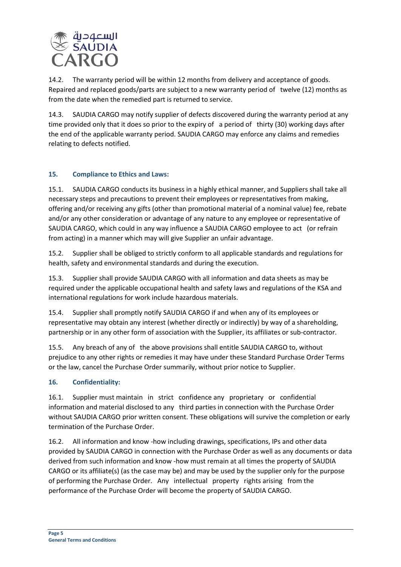

14.2. The warranty period will be within 12 months from delivery and acceptance of goods. Repaired and replaced goods/parts are subject to a new warranty period of twelve (12) months as from the date when the remedied part is returned to service.

14.3. SAUDIA CARGO may notify supplier of defects discovered during the warranty period at any time provided only that it does so prior to the expiry of a period of thirty (30) working days after the end of the applicable warranty period. SAUDIA CARGO may enforce any claims and remedies relating to defects notified.

## **15. Compliance to Ethics and Laws:**

15.1. SAUDIA CARGO conducts its business in a highly ethical manner, and Suppliers shall take all necessary steps and precautions to prevent their employees or representatives from making, offering and/or receiving any gifts (other than promotional material of a nominal value) fee, rebate and/or any other consideration or advantage of any nature to any employee or representative of SAUDIA CARGO, which could in any way influence a SAUDIA CARGO employee to act (or refrain from acting) in a manner which may will give Supplier an unfair advantage.

15.2. Supplier shall be obliged to strictly conform to all applicable standards and regulations for health, safety and environmental standards and during the execution.

15.3. Supplier shall provide SAUDIA CARGO with all information and data sheets as may be required under the applicable occupational health and safety laws and regulations of the KSA and international regulations for work include hazardous materials.

15.4. Supplier shall promptly notify SAUDIA CARGO if and when any of its employees or representative may obtain any interest (whether directly or indirectly) by way of a shareholding, partnership or in any other form of association with the Supplier, its affiliates or sub-contractor.

15.5. Any breach of any of the above provisions shall entitle SAUDIA CARGO to, without prejudice to any other rights or remedies it may have under these Standard Purchase Order Terms or the law, cancel the Purchase Order summarily, without prior notice to Supplier.

## **16. Confidentiality:**

16.1. Supplier must maintain in strict confidence any proprietary or confidential information and material disclosed to any third parties in connection with the Purchase Order without SAUDIA CARGO prior written consent. These obligations will survive the completion or early termination of the Purchase Order.

16.2. All information and know -how including drawings, specifications, IPs and other data provided by SAUDIA CARGO in connection with the Purchase Order as well as any documents or data derived from such information and know -how must remain at all times the property of SAUDIA CARGO or its affiliate(s) (as the case may be) and may be used by the supplier only for the purpose of performing the Purchase Order. Any intellectual property rights arising from the performance of the Purchase Order will become the property of SAUDIA CARGO.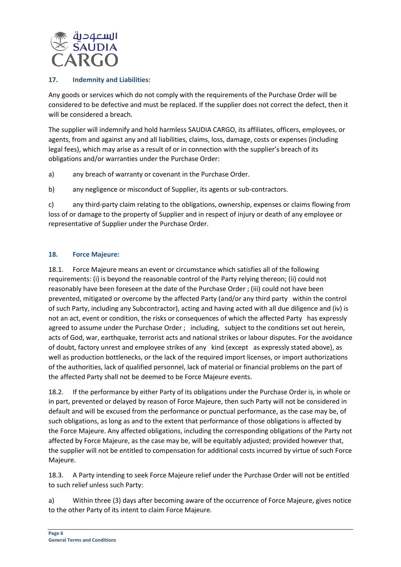

## **17. Indemnity and Liabilities:**

Any goods or services which do not comply with the requirements of the Purchase Order will be considered to be defective and must be replaced. If the supplier does not correct the defect, then it will be considered a breach.

The supplier will indemnify and hold harmless SAUDIA CARGO, its affiliates, officers, employees, or agents, from and against any and all liabilities, claims, loss, damage, costs or expenses (including legal fees), which may arise as a result of or in connection with the supplier's breach of its obligations and/or warranties under the Purchase Order:

a) any breach of warranty or covenant in the Purchase Order.

b) any negligence or misconduct of Supplier, its agents or sub-contractors.

c) any third-party claim relating to the obligations, ownership, expenses or claims flowing from loss of or damage to the property of Supplier and in respect of injury or death of any employee or representative of Supplier under the Purchase Order.

# **18. Force Majeure:**

18.1. Force Majeure means an event or circumstance which satisfies all of the following requirements: (i) is beyond the reasonable control of the Party relying thereon; (ii) could not reasonably have been foreseen at the date of the Purchase Order ; (iii) could not have been prevented, mitigated or overcome by the affected Party (and/or any third party within the control of such Party, including any Subcontractor), acting and having acted with all due diligence and (iv) is not an act, event or condition, the risks or consequences of which the affected Party has expressly agreed to assume under the Purchase Order ; including, subject to the conditions set out herein, acts of God, war, earthquake, terrorist acts and national strikes or labour disputes. For the avoidance of doubt, factory unrest and employee strikes of any kind (except as expressly stated above), as well as production bottlenecks, or the lack of the required import licenses, or import authorizations of the authorities, lack of qualified personnel, lack of material or financial problems on the part of the affected Party shall not be deemed to be Force Majeure events.

18.2. If the performance by either Party of its obligations under the Purchase Order is, in whole or in part, prevented or delayed by reason of Force Majeure, then such Party will not be considered in default and will be excused from the performance or punctual performance, as the case may be, of such obligations, as long as and to the extent that performance of those obligations is affected by the Force Majeure. Any affected obligations, including the corresponding obligations of the Party not affected by Force Majeure, as the case may be, will be equitably adjusted; provided however that, the supplier will not be entitled to compensation for additional costs incurred by virtue of such Force Majeure.

18.3. A Party intending to seek Force Majeure relief under the Purchase Order will not be entitled to such relief unless such Party:

a) Within three (3) days after becoming aware of the occurrence of Force Majeure, gives notice to the other Party of its intent to claim Force Majeure.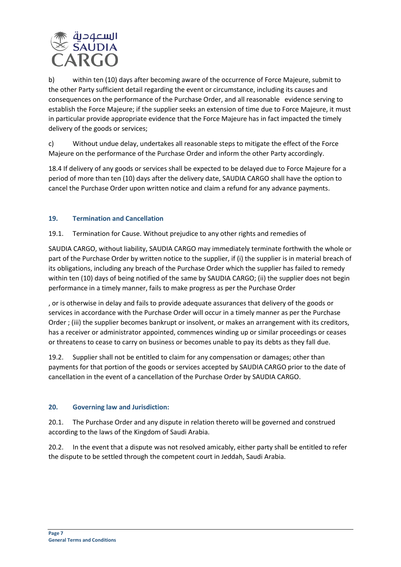

b) within ten (10) days after becoming aware of the occurrence of Force Majeure, submit to the other Party sufficient detail regarding the event or circumstance, including its causes and consequences on the performance of the Purchase Order, and all reasonable evidence serving to establish the Force Majeure; if the supplier seeks an extension of time due to Force Majeure, it must in particular provide appropriate evidence that the Force Majeure has in fact impacted the timely delivery of the goods or services;

c) Without undue delay, undertakes all reasonable steps to mitigate the effect of the Force Majeure on the performance of the Purchase Order and inform the other Party accordingly.

18.4 If delivery of any goods or services shall be expected to be delayed due to Force Majeure for a period of more than ten (10) days after the delivery date, SAUDIA CARGO shall have the option to cancel the Purchase Order upon written notice and claim a refund for any advance payments.

# **19. Termination and Cancellation**

19.1. Termination for Cause. Without prejudice to any other rights and remedies of

SAUDIA CARGO, without liability, SAUDIA CARGO may immediately terminate forthwith the whole or part of the Purchase Order by written notice to the supplier, if (i) the supplier is in material breach of its obligations, including any breach of the Purchase Order which the supplier has failed to remedy within ten (10) days of being notified of the same by SAUDIA CARGO; (ii) the supplier does not begin performance in a timely manner, fails to make progress as per the Purchase Order

, or is otherwise in delay and fails to provide adequate assurances that delivery of the goods or services in accordance with the Purchase Order will occur in a timely manner as per the Purchase Order ; (iii) the supplier becomes bankrupt or insolvent, or makes an arrangement with its creditors, has a receiver or administrator appointed, commences winding up or similar proceedings or ceases or threatens to cease to carry on business or becomes unable to pay its debts as they fall due.

19.2. Supplier shall not be entitled to claim for any compensation or damages; other than payments for that portion of the goods or services accepted by SAUDIA CARGO prior to the date of cancellation in the event of a cancellation of the Purchase Order by SAUDIA CARGO.

## **20. Governing law and Jurisdiction:**

20.1. The Purchase Order and any dispute in relation thereto will be governed and construed according to the laws of the Kingdom of Saudi Arabia.

20.2. In the event that a dispute was not resolved amicably, either party shall be entitled to refer the dispute to be settled through the competent court in Jeddah, Saudi Arabia.